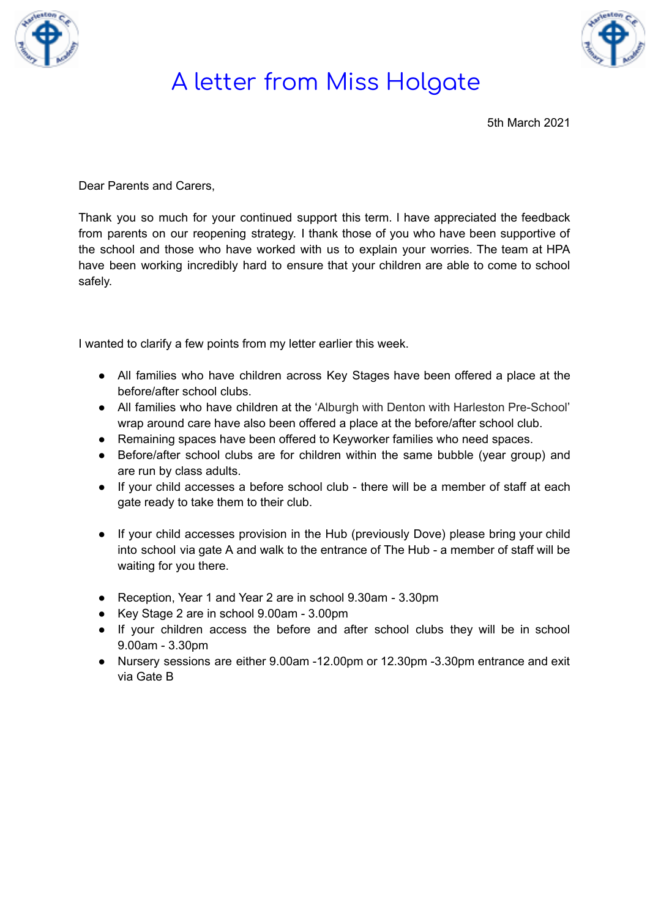



5th March 2021

Dear Parents and Carers,

Thank you so much for your continued support this term. I have appreciated the feedback from parents on our reopening strategy. I thank those of you who have been supportive of the school and those who have worked with us to explain your worries. The team at HPA have been working incredibly hard to ensure that your children are able to come to school safely.

I wanted to clarify a few points from my letter earlier this week.

- All families who have children across Key Stages have been offered a place at the before/after school clubs.
- All families who have children at the 'Alburgh with Denton with Harleston Pre-School' wrap around care have also been offered a place at the before/after school club.
- Remaining spaces have been offered to Keyworker families who need spaces.
- Before/after school clubs are for children within the same bubble (year group) and are run by class adults.
- If your child accesses a before school club there will be a member of staff at each gate ready to take them to their club.
- If your child accesses provision in the Hub (previously Dove) please bring your child into school via gate A and walk to the entrance of The Hub - a member of staff will be waiting for you there.
- Reception, Year 1 and Year 2 are in school 9.30am 3.30pm
- Key Stage 2 are in school 9.00am 3.00pm
- If your children access the before and after school clubs they will be in school 9.00am - 3.30pm
- Nursery sessions are either 9.00am -12.00pm or 12.30pm -3.30pm entrance and exit via Gate B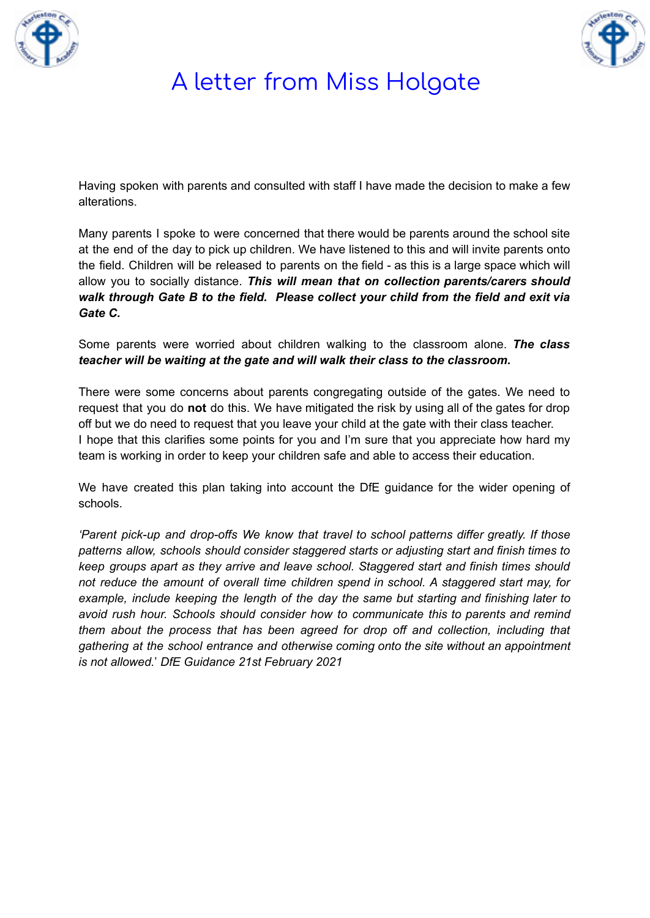



Having spoken with parents and consulted with staff I have made the decision to make a few alterations.

Many parents I spoke to were concerned that there would be parents around the school site at the end of the day to pick up children. We have listened to this and will invite parents onto the field. Children will be released to parents on the field - as this is a large space which will allow you to socially distance. *This will mean that on collection parents/carers should walk through Gate B to the field. Please collect your child from the field and exit via Gate C.*

Some parents were worried about children walking to the classroom alone. *The class teacher will be waiting at the gate and will walk their class to the classroom.*

There were some concerns about parents congregating outside of the gates. We need to request that you do **not** do this. We have mitigated the risk by using all of the gates for drop off but we do need to request that you leave your child at the gate with their class teacher. I hope that this clarifies some points for you and I'm sure that you appreciate how hard my team is working in order to keep your children safe and able to access their education.

We have created this plan taking into account the DfE guidance for the wider opening of schools.

*'Parent pick-up and drop-offs We know that travel to school patterns differ greatly. If those patterns allow, schools should consider staggered starts or adjusting start and finish times to keep groups apart as they arrive and leave school. Staggered start and finish times should not reduce the amount of overall time children spend in school. A staggered start may, for example, include keeping the length of the day the same but starting and finishing later to avoid rush hour. Schools should consider how to communicate this to parents and remind them about the process that has been agreed for drop off and collection, including that gathering at the school entrance and otherwise coming onto the site without an appointment is not allowed.*' *DfE Guidance 21st February 2021*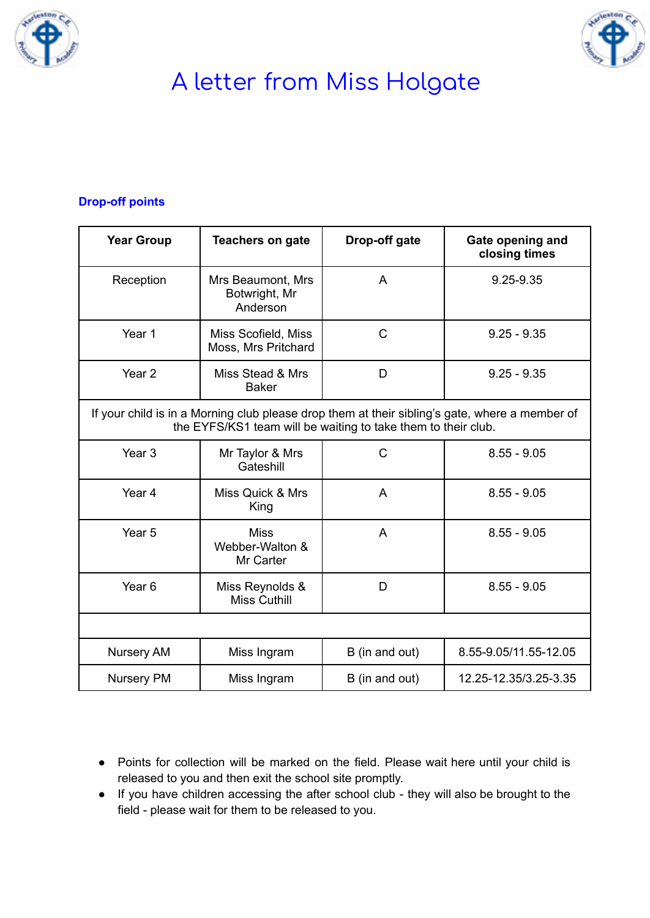



#### **Drop-off points**

| <b>Year Group</b>                                                                                                                                               | <b>Teachers on gate</b>                        | Drop-off gate  | Gate opening and<br>closing times |  |
|-----------------------------------------------------------------------------------------------------------------------------------------------------------------|------------------------------------------------|----------------|-----------------------------------|--|
| Reception                                                                                                                                                       | Mrs Beaumont, Mrs<br>Botwright, Mr<br>Anderson | A              | 9.25-9.35                         |  |
| Year 1                                                                                                                                                          | Miss Scofield, Miss<br>Moss, Mrs Pritchard     | $\mathsf{C}$   | $9.25 - 9.35$                     |  |
| Year <sub>2</sub>                                                                                                                                               | Miss Stead & Mrs<br><b>Baker</b>               | D              | $9.25 - 9.35$                     |  |
| If your child is in a Morning club please drop them at their sibling's gate, where a member of<br>the EYFS/KS1 team will be waiting to take them to their club. |                                                |                |                                   |  |
| Year <sub>3</sub>                                                                                                                                               | Mr Taylor & Mrs<br>Gateshill                   | $\mathsf{C}$   | $8.55 - 9.05$                     |  |
| Year <sub>4</sub>                                                                                                                                               | Miss Quick & Mrs<br>King                       | A              | $8.55 - 9.05$                     |  |
| Year <sub>5</sub>                                                                                                                                               | <b>Miss</b><br>Webber-Walton &<br>Mr Carter    | A              | $8.55 - 9.05$                     |  |
| Year <sub>6</sub>                                                                                                                                               | Miss Reynolds &<br><b>Miss Cuthill</b>         | D              | $8.55 - 9.05$                     |  |
|                                                                                                                                                                 |                                                |                |                                   |  |
| <b>Nursery AM</b>                                                                                                                                               | Miss Ingram                                    | B (in and out) | 8.55-9.05/11.55-12.05             |  |
| <b>Nursery PM</b>                                                                                                                                               | Miss Ingram                                    | B (in and out) | 12.25-12.35/3.25-3.35             |  |

- Points for collection will be marked on the field. Please wait here until your child is released to you and then exit the school site promptly.
- If you have children accessing the after school club they will also be brought to the field - please wait for them to be released to you.